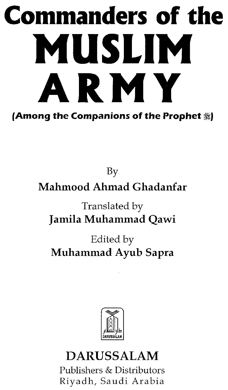# **Commanders of the MUSLIM ARMY {Among the Companions of the Prophet ~J**

By **Mahmood Ahmad Ghadanfar**

Translated by **Jamila Muhammad Qawi**

Edited by **Muhammad Ayub Sapra**



# **DARUSSALAM**

Publishers & Distributors Riyadh, Saudi Arabia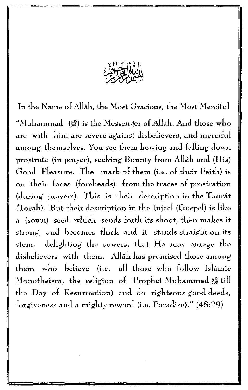

In the Name of Allah, the Most Gracious, the Most Merciful "Muhammad  $(\%)$  is the Messenger of Allah. And those who are with him are severe against disbelievers, and merciful among themselves. You see them bowing and falling down prostrate (in prayer), seeking Bounty from Allâh and (His) Good Pleasure. The mark of them (i.e. of their Faith) is on their faces (foreheads) from the traces of prostration (during prayers). This is their description in the Taurat (Torah). But their description in the Injeel (Gospel) is like a (sown) seed which sends forth its shoot, then makes it strong, and becomes thick and it stands straight on its stem, delighting the sowers, that He may enrage the disbelievers with them. Allah has promised those among them who believe (i.e. all those who follow Islamic Monotheism, the religion of Prophet Muhammad  $#$  till the Day of Resurrection) and do righteous good deeds, forgiveness and a mighty reward (i.e. Paradise)." (48:29)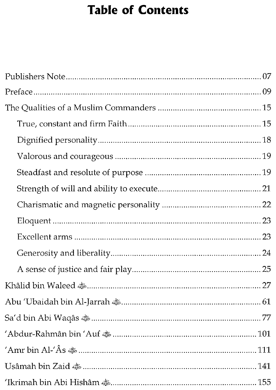## **Table of Contents**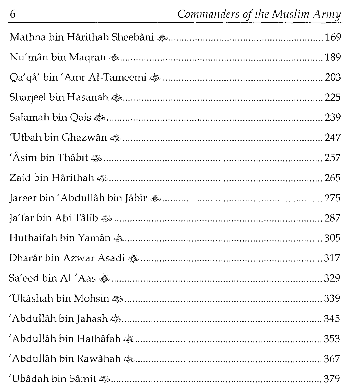| Qa'qâ' bin 'Amr Al-Tameemi <a>&gt;</a> |  |
|----------------------------------------|--|
|                                        |  |
|                                        |  |
|                                        |  |
|                                        |  |
|                                        |  |
|                                        |  |
|                                        |  |
|                                        |  |
|                                        |  |
|                                        |  |
|                                        |  |
|                                        |  |
|                                        |  |
|                                        |  |
|                                        |  |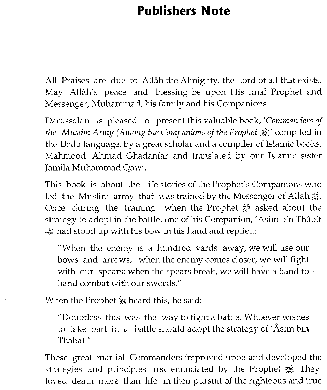### **Publishers Note**

All Praises are due to Allah the Almighty, the Lord of all that exists. May Allah's peace and blessing be upon His final Prophet and Messenger, Muhammad, his family and his Companions.

Darussalam is pleased to present this valuable book, 'Commanders of *the Muslim Army (Among the Companions of the Prophet* ~)' compiled in the Urdu language, by a great scholar and a compiler of Islamic books, Mahmood Ahmad Ghadanfar and translated by our Islamic sister Jamila Muhammad Qawi.

This book is about the life stories of the Prophet's Companions who led the Muslim army that was trained by the Messenger of Allah  $\mathcal{L}$ . Once during the training when the Prophet  $#$  asked about the strategy to adopt in the battle, one of his Companion, 'Âsim bin Thâbit 4!0had stood up with his bow in his hand and replied:

"When the enemy is a hundred yards away, we will use our bows and arrows; when the enemy comes closer, we will fight with our spears; when the spears break, we will have a hand to hand combat with our swords."

When the Prophet *‰* heard this, he said:

 $\hat{\mathcal{L}}$ 

"Doubtless this was the way to fight a battle. Whoever wishes to take part in a battle should adopt the strategy of 'Asim bin Thabat."

These great martial Commanders improved upon and developed the strategies and principles first enunciated by the Prophet  $\frac{46}{36}$ . They loved death more than life in their pursuit of the righteous and true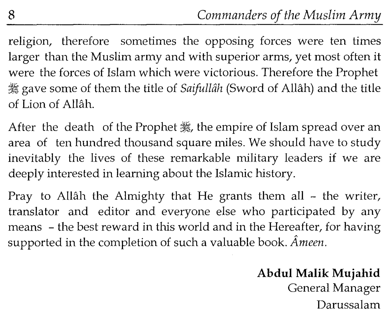religion, therefore sometimes the opposing forces were ten times larger than the Muslim army and with superior arms, yet most often it were the forces of Islam which were victorious. Therefore the Prophet ~ gave some of them the title of *Saifullah* (Sword of Allah) and the title of Lion of Allah.

After the death of the Prophet , the empire of Islam spread over an area of ten hundred thousand square miles. We should have to study inevitably the lives of these remarkable military leaders if we are deeply interested in learning about the Islamic history.

Pray to Allâh the Almighty that He grants them all – the writer, translator and editor and everyone else who participated by any means - the best reward in this world and in the Hereafter, for having supported in the completion of such a valuable book. *Ameen.*

#### **Abdul Malik Mujahid** General Manager Darussalam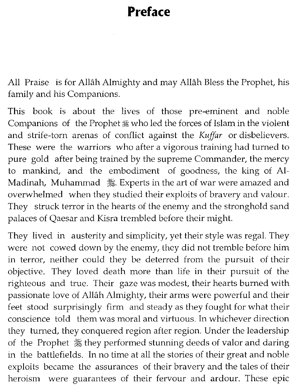## **Preface**

All Praise is for Allah Almighty and may Allah Bless the Prophet, his family and his Companions.

This book is about the lives of those pre-eminent and noble Companions of the Prophet  $#$  who led the forces of Islam in the violent and strife-torn arenas of conflict against the *Kuffar* or disbelievers. These were the warriors who after a vigorous training had turned to pure gold after being trained by the supreme Commander, the mercy to mankind, and the embodiment of goodness, the king of AI-Madinah, Muhammad  $#$ . Experts in the art of war were amazed and overwhelmed when they studied their exploits of bravery and valour. They struck terror in the hearts of the enemy and the stronghold sand palaces of Qaesar and Kisra trembled before their might.

They lived in austerity and simplicity, yet their style was regal. They were not cowed down by the enemy, they did not tremble before him in terror, neither could they be deterred from the pursuit of their objective. They loved death more than life in their pursuit of the righteous and true. Their gaze was modest, their hearts burned with passionate love of Allah Almighty, their arms were powerful and their feet stood surprisingly firm and steady as they fought for what their conscience told them was moral and virtuous. In whichever direction they turned, they conquered region after region. Under the leadership of the Prophet  $*$  they performed stunning deeds of valor and daring in the battlefields. In no time at all the stories of their great and noble exploits became the assurances of their bravery and the tales of their heroism were guarantees of their fervour and ardour. These epic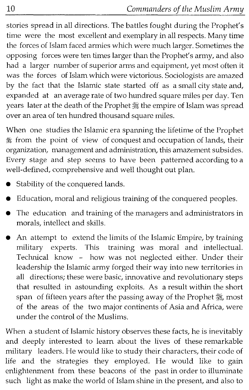stories spread in all directions. The battles fought during the Prophet's time were the most excellent and exemplary in all respects. Many time the forces of Islam faced armies which were much larger. Sometimes the opposing forces were ten times larger than the Prophet's army, and also had a larger number of superior arms and equipment, yet most often it was the forces of Islam which were victorious. Sociologists are amazed by the fact that the Islamic state started off as a small city state and, expanded at an average rate of two hundred square miles per day. Ten years later at the death of the Prophet : the empire of Islam was spread over an area of ten hundred thousand square miles.

When one studies the Islamic era spanning the lifetime of the Prophet ~ from the point of view of conquest and occupation of lands, their organization, management and administration, this amazement subsides. Every stage and step seems to have been patterned according to a well-defined, comprehensive and well thought out plan.

- Stability of the conquered lands.
- Education, moral and religious training of the conquered peoples.
- The education and training of the managers and administrators in morals, intellect and skills.
- An attempt to extend the limits of the Islamic Empire, by training military experts. This training was moral and intellectual. Technical know - how was not neglected either. Under their leadership the Islamic army forged their way into new territories in all directions; these were basic, innovative and revolutionary steps that resulted in astounding exploits. As a result within the short span of fifteen years after the passing away of the Prophet 囊, most of the areas of the two major continents of Asia and Africa, were under the control of the Muslims.

When a student of Islamic history observes these facts, he is inevitably and deeply interested to learn about the lives of these remarkable military leaders. He would like to study their characters, their code of life and the strategies they employed. He would like to gain enlightenment from these beacons of the past in order to illuminate such light as make the world of Islam shine in the present, and also to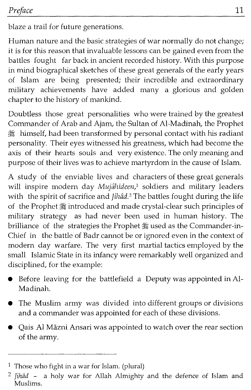blaze a trail for future generations.

Human nature and the basic strategies of war normally do not change; it is for this reason that invaluable lessons can be gained even from the battles fought far back in ancient recorded history. With this purpose in mind biographical sketches of these great generals of the early years of Islam are being presented; their incredible and extraordinary military achievements have added many a glorious and golden chapter to the history of mankind.

Doubtless those great personalities who were trained by the greatest Commander of Arab and Ajam, the Sultan of AI-Madinah, the Prophet ~ himself, had been transformed by personal contact with his radiant personality. Their eyes witnessed his greatness, which had become the axis of their hearts souls and very existence. The only meaning and purpose of their lives was to achieve martyrdom in the cause of Islam.

A study of the enviable lives and characters of these great generals will inspire modern day *Mujâhideen*,<sup>1</sup> soldiers and military leaders with the spirit of sacrifice and *Jihâd*.<sup>2</sup> The battles fought during the life of the Prophet  $#$  introduced and made crystal-clear such principles of military strategy as had never been used in human history. The brilliance of the strategies the Prophet ※ used as the Commander-in-Chief in the battle of Badr cannot be or ignored even in the context of modern day warfare. The very first martial tactics employed by the small Islamic State in its infancy were remarkably well organized and disciplined, for the example:

- Before leaving for the battlefield a Deputy was appointed in AI-Madinah.
- The Muslim army was divided into different groups or divisions and a commander was appointed for each of these divisions.
- Qais Al Mâzni Ansari was appointed to watch over the rear section of the army.

<sup>&</sup>lt;sup>1</sup> Those who fight in a war for Islam. (plural)

*<sup>2</sup>* Jihad - a holy war for Allah Almighty and the defence of Islam and Muslims.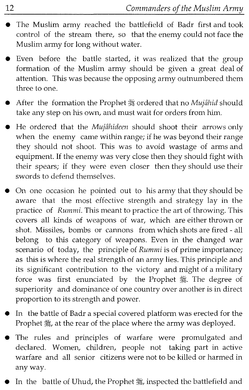- The Muslim army reached the battlefield of Badr first and took control of the stream there, so that the enemy could not face the Muslim army for long without water.
- Even before the battle started, it was realized that the group formation of the Muslim army should be given a great deal of attention. This was because the opposing army outnumbered them three to one.
- After the formation the Prophet sordered that no *Mujâhid* should take any step on his own, and must wait for orders from him.
- He ordered that the *Mujahideen* should shoot their arrows only when the enemy came within range; if he was beyond their range they should not shoot. This was to avoid wastage of arms and equipment. If the enemy was very close then they should fight with their spears; if they were even closer then they should use their swords to defend themselves.
- On one occasion he pointed out to his army that they should be aware that the most effective strength and strategy lay in the practice of *Rummi.* This meant to practice the art of throwing. This covers all kinds of weapons of war, which are either thrown or shot. Missiles, bombs or cannons from which shots are fired - all belong to this category of weapons. Even in the changed war scenario of today, the principle of *Rummi* is of prime importance; as this is where the real strength of an army lies. This principle and its significant contribution to the victory and might of a military force was first enunciated by the Prophet 囊. The degree of superiority and dominance of one country over another is in direct proportion to its strength and power.
- In the battle of Badr a special covered platform was erected for the Prophet  $*$ , at the rear of the place where the army was deployed.
- The rules and principles of warfare were promulgated and declared. Women, children, people not taking part in active warfare and all senior citizens were not to be killed or harmed in any way.
- In the battle of Uhud, the Prophet 背, inspected the battlefield and